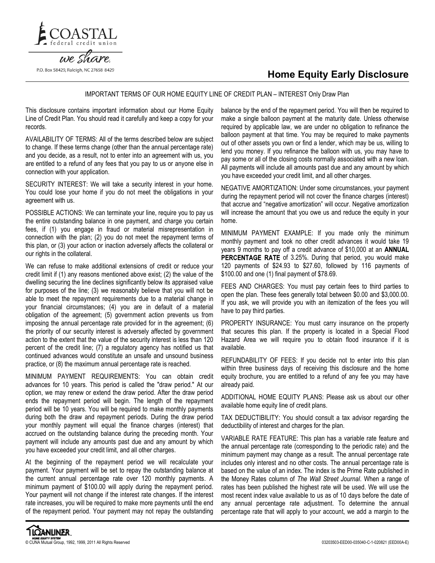



## IMPORTANT TERMS OF OUR HOME EQUITY LINE OF CREDIT PLAN – INTEREST Only Draw Plan

This disclosure contains important information about our Home Equity Line of Credit Plan. You should read it carefully and keep a copy for your records.

AVAILABILITY OF TERMS: All of the terms described below are subject to change. If these terms change (other than the annual percentage rate) and you decide, as a result, not to enter into an agreement with us, you are entitled to a refund of any fees that you pay to us or anyone else in connection with your application.

SECURITY INTEREST: We will take a security interest in your home. You could lose your home if you do not meet the obligations in your agreement with us.

POSSIBLE ACTIONS: We can terminate your line, require you to pay us the entire outstanding balance in one payment, and charge you certain fees, if (1) you engage in fraud or material misrepresentation in connection with the plan; (2) you do not meet the repayment terms of this plan, or (3) your action or inaction adversely affects the collateral or our rights in the collateral.

We can refuse to make additional extensions of credit or reduce your credit limit if (1) any reasons mentioned above exist; (2) the value of the dwelling securing the line declines significantly below its appraised value for purposes of the line; (3) we reasonably believe that you will not be able to meet the repayment requirements due to a material change in your financial circumstances; (4) you are in default of a material obligation of the agreement; (5) government action prevents us from imposing the annual percentage rate provided for in the agreement; (6) the priority of our security interest is adversely affected by government action to the extent that the value of the security interest is less than 120 percent of the credit line; (7) a regulatory agency has notified us that continued advances would constitute an unsafe and unsound business practice, or (8) the maximum annual percentage rate is reached.

MINIMUM PAYMENT REQUIREMENTS: You can obtain credit advances for 10 years. This period is called the "draw period." At our option, we may renew or extend the draw period. After the draw period ends the repayment period will begin. The length of the repayment period will be 10 years. You will be required to make monthly payments during both the draw and repayment periods. During the draw period your monthly payment will equal the finance charges (interest) that accrued on the outstanding balance during the preceding month. Your payment will include any amounts past due and any amount by which you have exceeded your credit limit, and all other charges.

At the beginning of the repayment period we will recalculate your payment. Your payment will be set to repay the outstanding balance at the current annual percentage rate over 120 monthly payments. A minimum payment of \$100.00 will apply during the repayment period. Your payment will not change if the interest rate changes. If the interest rate increases, you will be required to make more payments until the end of the repayment period. Your payment may not repay the outstanding

balance by the end of the repayment period. You will then be required to make a single balloon payment at the maturity date. Unless otherwise required by applicable law, we are under no obligation to refinance the balloon payment at that time. You may be required to make payments out of other assets you own or find a lender, which may be us, willing to lend you money. If you refinance the balloon with us, you may have to pay some or all of the closing costs normally associated with a new loan. All payments will include all amounts past due and any amount by which you have exceeded your credit limit, and all other charges.

NEGATIVE AMORTIZATION: Under some circumstances, your payment during the repayment period will not cover the finance charges (interest) that accrue and "negative amortization" will occur. Negative amortization will increase the amount that you owe us and reduce the equity in your home.

MINIMUM PAYMENT EXAMPLE: If you made only the minimum monthly payment and took no other credit advances it would take 19 years 9 months to pay off a credit advance of \$10,000 at an **ANNUAL** PERCENTAGE RATE of 3.25%. During that period, you would make 120 payments of \$24.93 to \$27.60, followed by 116 payments of \$100.00 and one (1) final payment of \$78.69.

FEES AND CHARGES: You must pay certain fees to third parties to open the plan. These fees generally total between \$0.00 and \$3,000.00. If you ask, we will provide you with an itemization of the fees you will have to pay third parties.

PROPERTY INSURANCE: You must carry insurance on the property that secures this plan. If the property is located in a Special Flood Hazard Area we will require you to obtain flood insurance if it is available.

REFUNDABILITY OF FEES: If you decide not to enter into this plan within three business days of receiving this disclosure and the home equity brochure, you are entitled to a refund of any fee you may have already paid.

ADDITIONAL HOME EQUITY PLANS: Please ask us about our other available home equity line of credit plans.

TAX DEDUCTIBILITY: You should consult a tax advisor regarding the deductibility of interest and charges for the plan.

VARIABLE RATE FEATURE: This plan has a variable rate feature and the annual percentage rate (corresponding to the periodic rate) and the minimum payment may change as a result. The annual percentage rate includes only interest and no other costs. The annual percentage rate is based on the value of an index. The index is the Prime Rate published in the Money Rates column of The Wall Street Journal. When a range of rates has been published the highest rate will be used. We will use the most recent index value available to us as of 10 days before the date of any annual percentage rate adjustment. To determine the annual percentage rate that will apply to your account, we add a margin to the